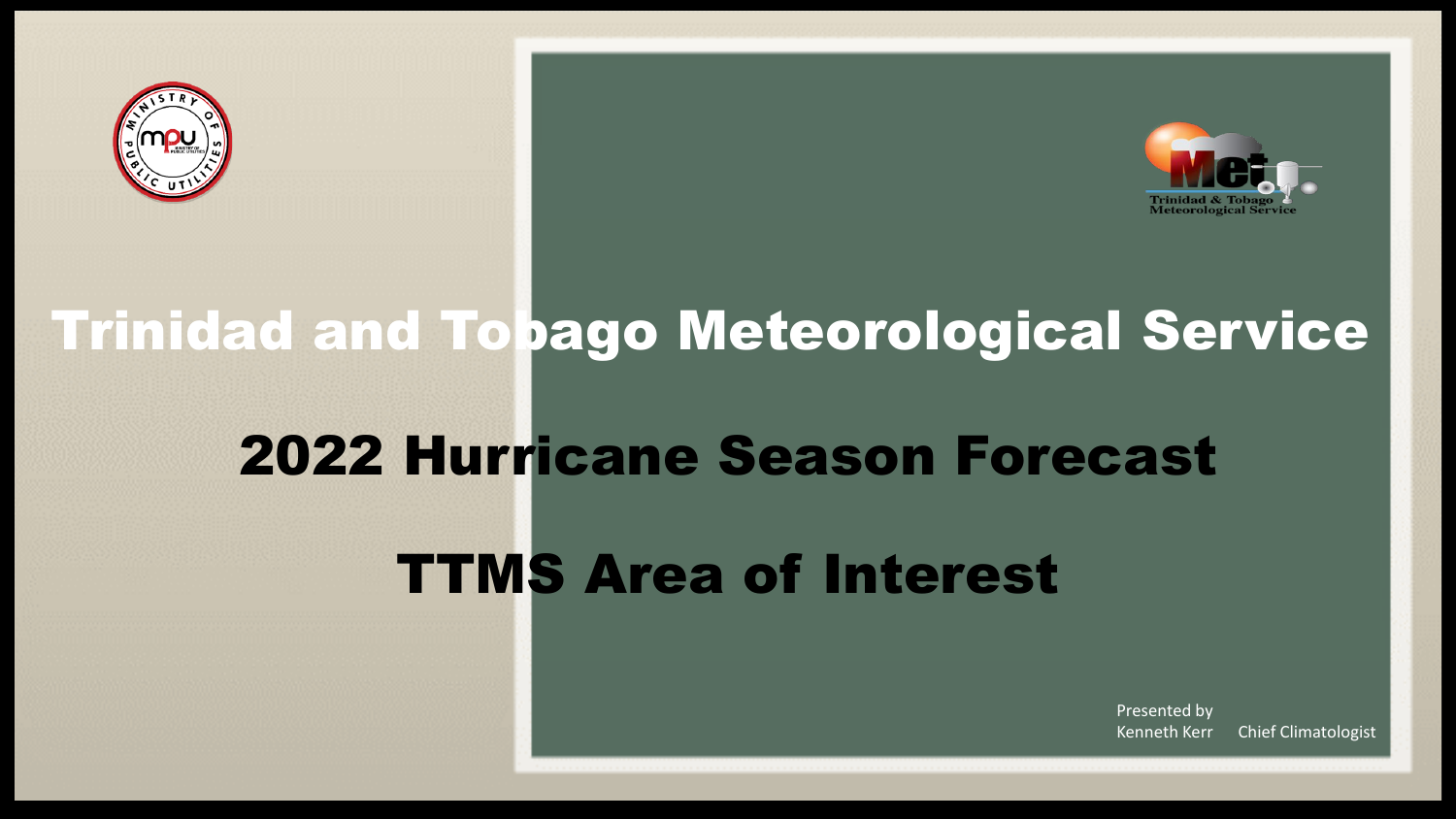



# 2022 Hurricane Season Forecast Trinidad and Tobago Meteorological Service

TTMS Area of Interest

Presented by Kenneth Kerr Chief Climatologist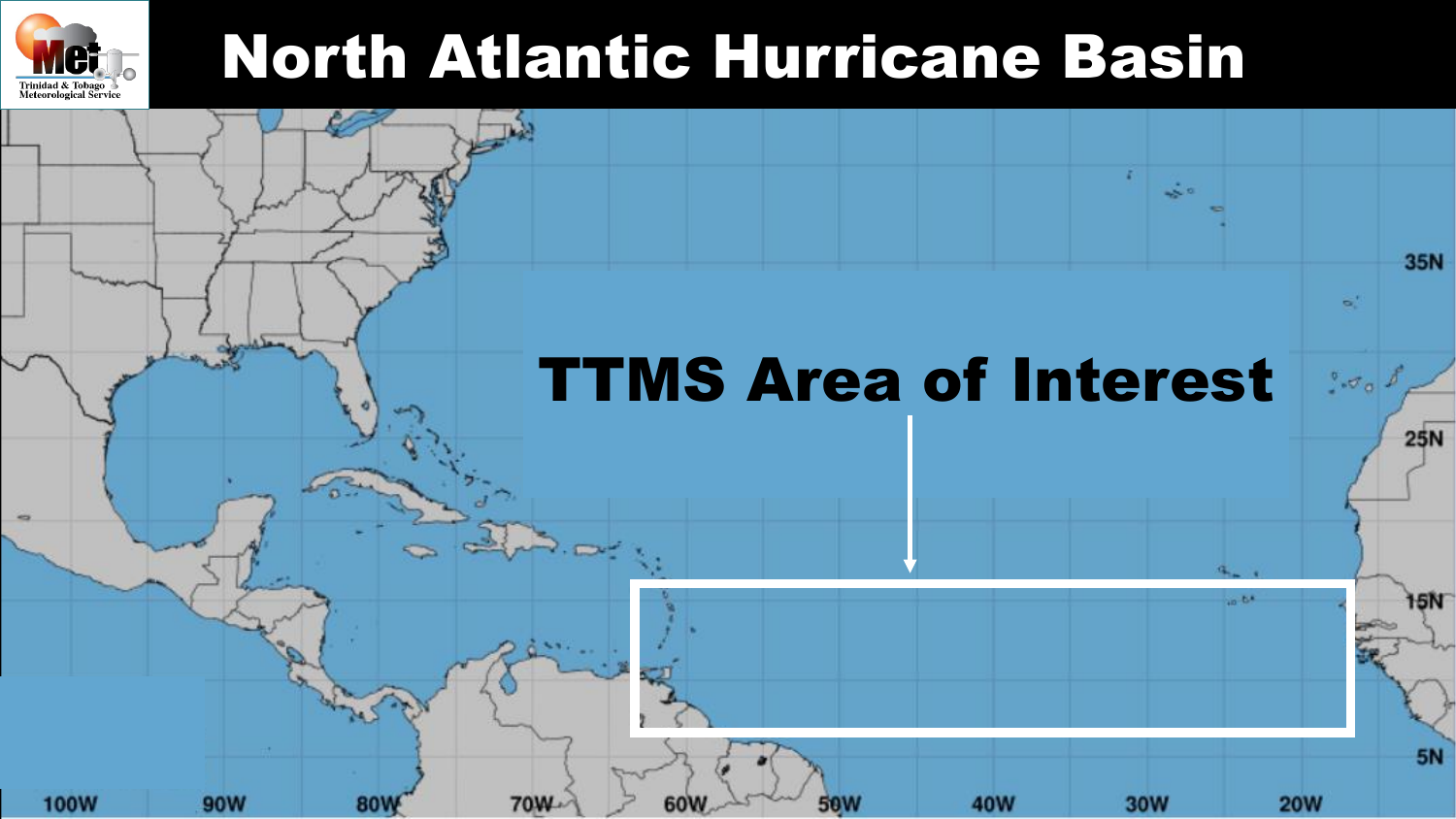

### North Atlantic Hurricane Basin

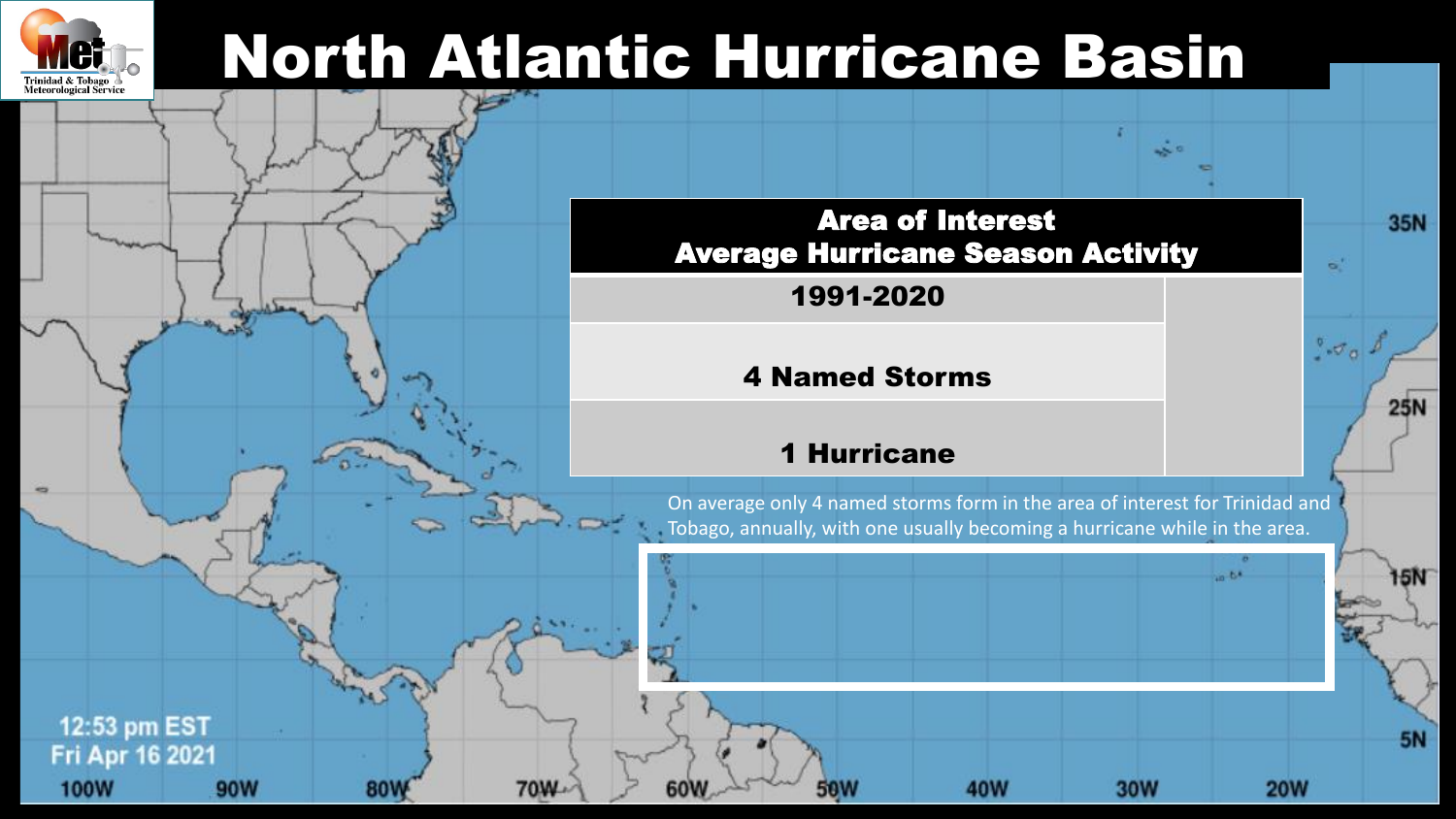

### North Atlantic Hurricane Basin

**70W** 

80V

60W



1991-2020

#### 4 Named Storms

#### 1 Hurricane

50W

On average only 4 named storms form in the area of interest for Trinidad and Tobago, annually, with one usually becoming a hurricane while in the area.

40W

**35N** 

**25N** 

15N

**5N** 

 $\sigma_{\alpha}$ .

 $6 - 6 +$ 

**20W** 

**30W** 

12:53 pm EST Fri Apr 16 2021 **100W** 90W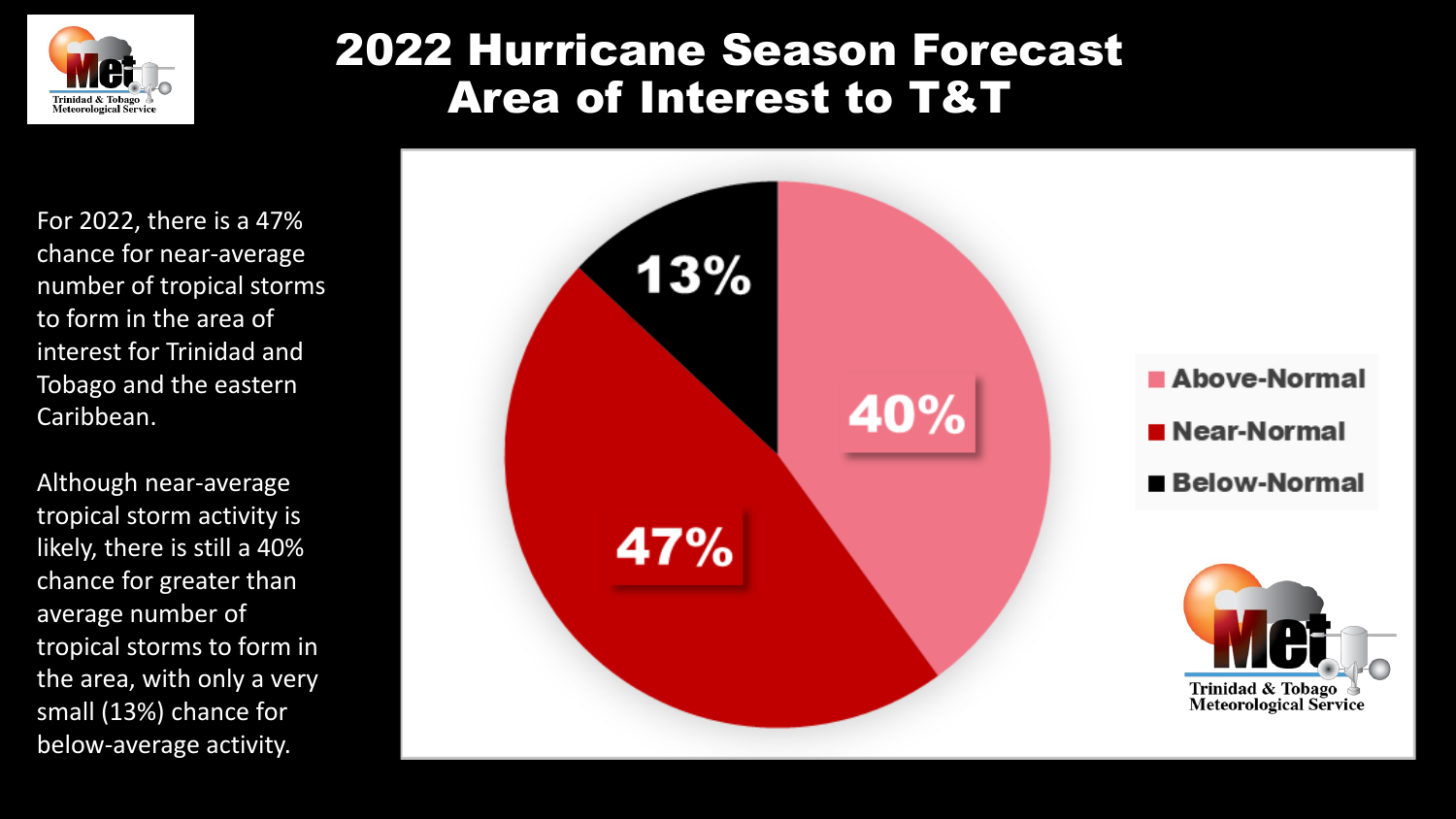

### 2022 Hurricane Season Forecast Area of Interest to T&T

For 2022, there is a 47% chance for near-average number of tropical storms to form in the area of interest for Trinidad and Tobago and the eastern Caribbean.

Although near-average tropical storm activity is likely, there is still a 40% chance for greater than average number of tropical storms to form in the area, with only a very small (13%) chance for below-average activity.

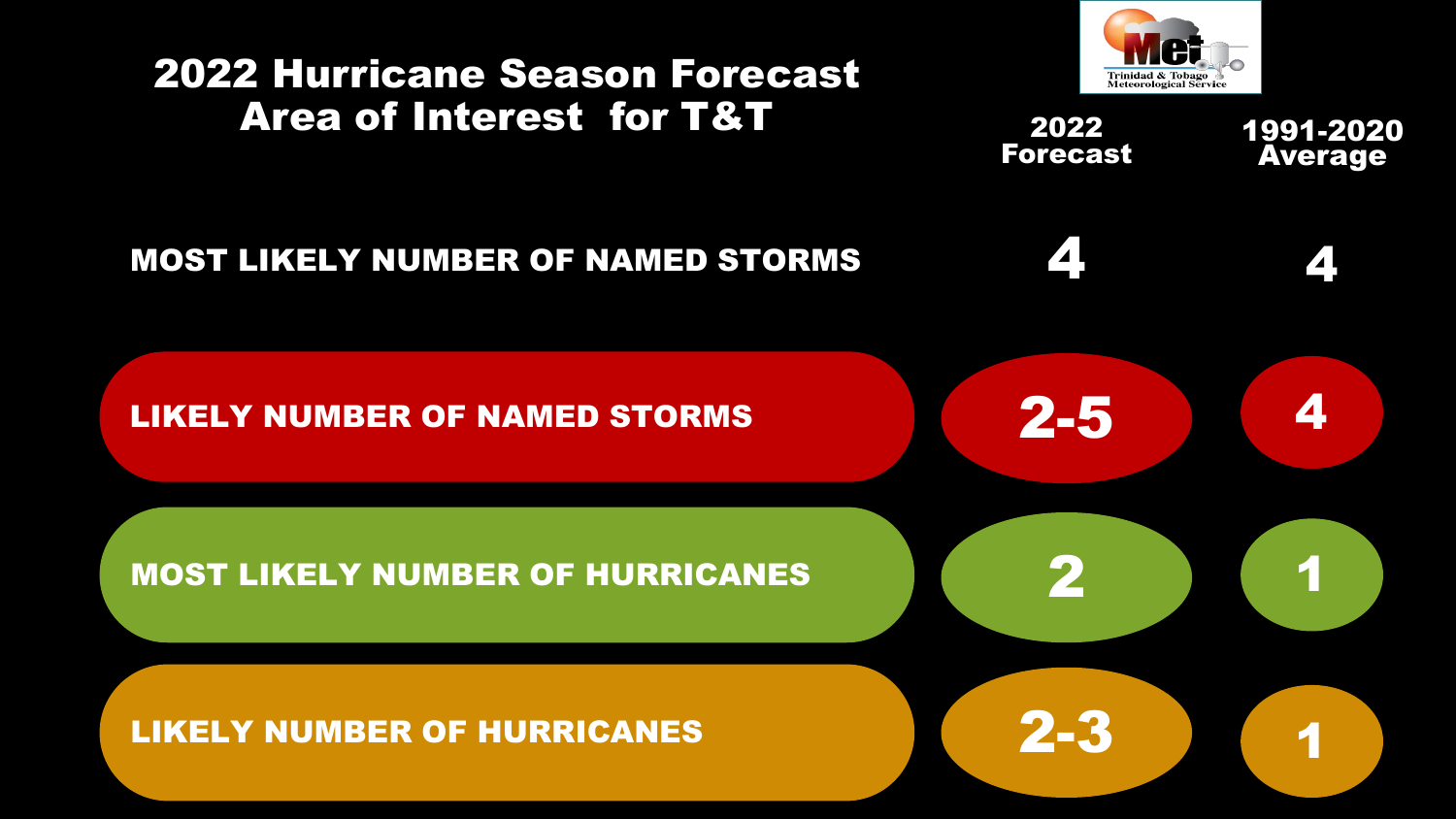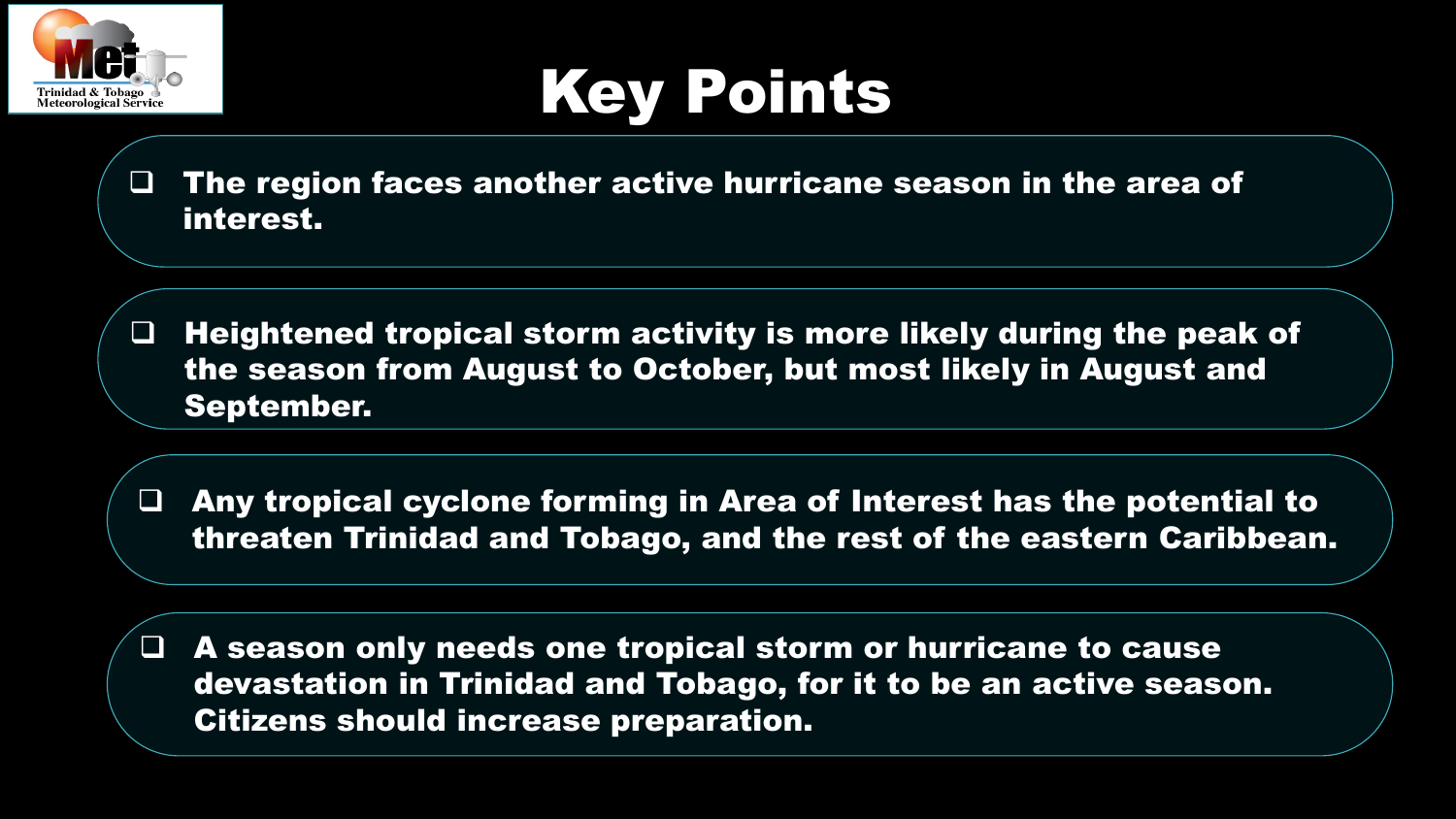

## Key Points

 $\Box$  The region faces another active hurricane season in the area of interest.

 $\Box$  Heightened tropical storm activity is more likely during the peak of the season from August to October, but most likely in August and September.

 Any tropical cyclone forming in Area of Interest has the potential to threaten Trinidad and Tobago, and the rest of the eastern Caribbean.

 A season only needs one tropical storm or hurricane to cause devastation in Trinidad and Tobago, for it to be an active season. Citizens should increase preparation.